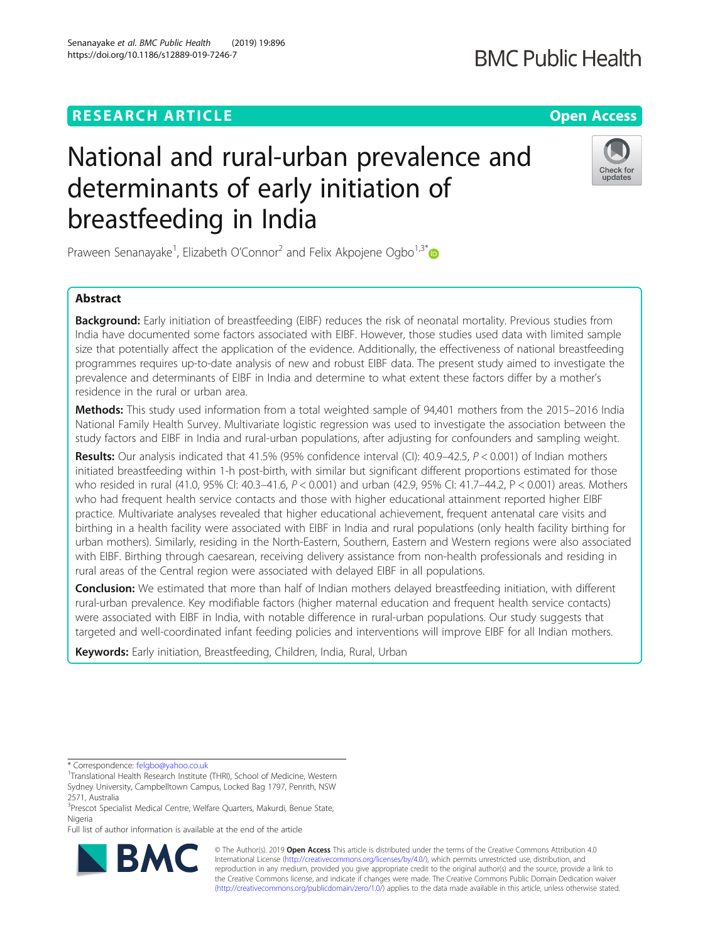## **RESEARCH ARTICLE Example 2018 12:30 THE OPEN ACCESS**

# National and rural-urban prevalence and determinants of early initiation of breastfeeding in India

Praween Senanayake<sup>1</sup>, Elizabeth O'Connor<sup>2</sup> and Felix Akpojene Ogbo<sup>1,3\*</sup>

## Abstract

Background: Early initiation of breastfeeding (EIBF) reduces the risk of neonatal mortality. Previous studies from India have documented some factors associated with EIBF. However, those studies used data with limited sample size that potentially affect the application of the evidence. Additionally, the effectiveness of national breastfeeding programmes requires up-to-date analysis of new and robust EIBF data. The present study aimed to investigate the prevalence and determinants of EIBF in India and determine to what extent these factors differ by a mother's residence in the rural or urban area.

Methods: This study used information from a total weighted sample of 94,401 mothers from the 2015-2016 India National Family Health Survey. Multivariate logistic regression was used to investigate the association between the study factors and EIBF in India and rural-urban populations, after adjusting for confounders and sampling weight.

Results: Our analysis indicated that 41.5% (95% confidence interval (CI): 40.9–42.5,  $P < 0.001$ ) of Indian mothers initiated breastfeeding within 1-h post-birth, with similar but significant different proportions estimated for those who resided in rural (41.0, 95% CI: 40.3–41.6, P < 0.001) and urban (42.9, 95% CI: 41.7–44.2, P < 0.001) areas. Mothers who had frequent health service contacts and those with higher educational attainment reported higher EIBF practice. Multivariate analyses revealed that higher educational achievement, frequent antenatal care visits and birthing in a health facility were associated with EIBF in India and rural populations (only health facility birthing for urban mothers). Similarly, residing in the North-Eastern, Southern, Eastern and Western regions were also associated with EIBF. Birthing through caesarean, receiving delivery assistance from non-health professionals and residing in rural areas of the Central region were associated with delayed EIBF in all populations.

Conclusion: We estimated that more than half of Indian mothers delayed breastfeeding initiation, with different rural-urban prevalence. Key modifiable factors (higher maternal education and frequent health service contacts) were associated with EIBF in India, with notable difference in rural-urban populations. Our study suggests that targeted and well-coordinated infant feeding policies and interventions will improve EIBF for all Indian mothers.

Keywords: Early initiation, Breastfeeding, Children, India, Rural, Urban

\* Correspondence: [felgbo@yahoo.co.uk](mailto:felgbo@yahoo.co.uk) <sup>1</sup>

<sup>1</sup>Translational Health Research Institute (THRI), School of Medicine, Western Sydney University, Campbelltown Campus, Locked Bag 1797, Penrith, NSW

2571, Australia <sup>3</sup>Prescot Specialist Medical Centre, Welfare Quarters, Makurdi, Benue State, Nigeria

Full list of author information is available at the end of the article





© The Author(s). 2019 **Open Access** This article is distributed under the terms of the Creative Commons Attribution 4.0 International License [\(http://creativecommons.org/licenses/by/4.0/](http://creativecommons.org/licenses/by/4.0/)), which permits unrestricted use, distribution, and reproduction in any medium, provided you give appropriate credit to the original author(s) and the source, provide a link to the Creative Commons license, and indicate if changes were made. The Creative Commons Public Domain Dedication waiver [\(http://creativecommons.org/publicdomain/zero/1.0/](http://creativecommons.org/publicdomain/zero/1.0/)) applies to the data made available in this article, unless otherwise stated.



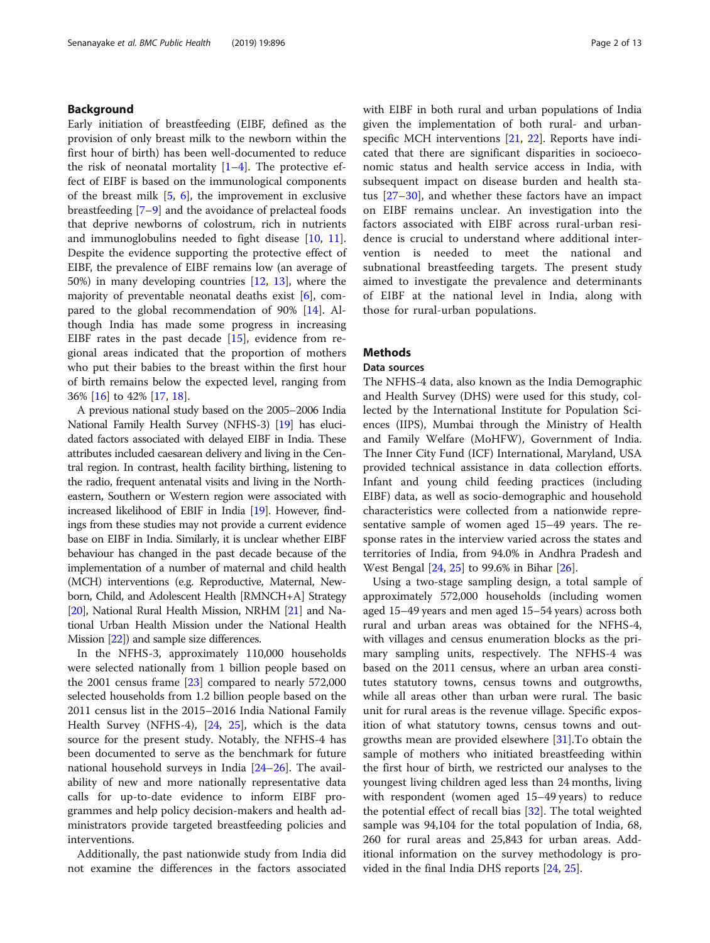## Background

Early initiation of breastfeeding (EIBF, defined as the provision of only breast milk to the newborn within the first hour of birth) has been well-documented to reduce the risk of neonatal mortality  $[1-4]$  $[1-4]$  $[1-4]$  $[1-4]$ . The protective effect of EIBF is based on the immunological components of the breast milk  $[5, 6]$  $[5, 6]$  $[5, 6]$  $[5, 6]$ , the improvement in exclusive breastfeeding [[7](#page-11-0)–[9\]](#page-11-0) and the avoidance of prelacteal foods that deprive newborns of colostrum, rich in nutrients and immunoglobulins needed to fight disease [[10,](#page-11-0) [11](#page-11-0)]. Despite the evidence supporting the protective effect of EIBF, the prevalence of EIBF remains low (an average of 50%) in many developing countries [\[12](#page-11-0), [13](#page-11-0)], where the majority of preventable neonatal deaths exist [[6\]](#page-10-0), compared to the global recommendation of 90% [\[14](#page-11-0)]. Although India has made some progress in increasing EIBF rates in the past decade  $[15]$  $[15]$ , evidence from regional areas indicated that the proportion of mothers who put their babies to the breast within the first hour of birth remains below the expected level, ranging from 36% [\[16](#page-11-0)] to 42% [\[17](#page-11-0), [18](#page-11-0)].

A previous national study based on the 2005–2006 India National Family Health Survey (NFHS-3) [\[19](#page-11-0)] has elucidated factors associated with delayed EIBF in India. These attributes included caesarean delivery and living in the Central region. In contrast, health facility birthing, listening to the radio, frequent antenatal visits and living in the Northeastern, Southern or Western region were associated with increased likelihood of EBIF in India [[19](#page-11-0)]. However, findings from these studies may not provide a current evidence base on EIBF in India. Similarly, it is unclear whether EIBF behaviour has changed in the past decade because of the implementation of a number of maternal and child health (MCH) interventions (e.g. Reproductive, Maternal, Newborn, Child, and Adolescent Health [RMNCH+A] Strategy [[20](#page-11-0)], National Rural Health Mission, NRHM [[21\]](#page-11-0) and National Urban Health Mission under the National Health Mission [\[22\]](#page-11-0)) and sample size differences.

In the NFHS-3, approximately 110,000 households were selected nationally from 1 billion people based on the 2001 census frame [[23](#page-11-0)] compared to nearly 572,000 selected households from 1.2 billion people based on the 2011 census list in the 2015–2016 India National Family Health Survey (NFHS-4), [\[24](#page-11-0), [25\]](#page-11-0), which is the data source for the present study. Notably, the NFHS-4 has been documented to serve as the benchmark for future national household surveys in India [[24](#page-11-0)–[26](#page-11-0)]. The availability of new and more nationally representative data calls for up-to-date evidence to inform EIBF programmes and help policy decision-makers and health administrators provide targeted breastfeeding policies and interventions.

Additionally, the past nationwide study from India did not examine the differences in the factors associated with EIBF in both rural and urban populations of India given the implementation of both rural- and urbanspecific MCH interventions [[21,](#page-11-0) [22](#page-11-0)]. Reports have indicated that there are significant disparities in socioeconomic status and health service access in India, with subsequent impact on disease burden and health status  $[27-30]$  $[27-30]$  $[27-30]$  $[27-30]$ , and whether these factors have an impact on EIBF remains unclear. An investigation into the factors associated with EIBF across rural-urban residence is crucial to understand where additional intervention is needed to meet the national and subnational breastfeeding targets. The present study aimed to investigate the prevalence and determinants of EIBF at the national level in India, along with those for rural-urban populations.

#### **Methods**

#### Data sources

The NFHS-4 data, also known as the India Demographic and Health Survey (DHS) were used for this study, collected by the International Institute for Population Sciences (IIPS), Mumbai through the Ministry of Health and Family Welfare (MoHFW), Government of India. The Inner City Fund (ICF) International, Maryland, USA provided technical assistance in data collection efforts. Infant and young child feeding practices (including EIBF) data, as well as socio-demographic and household characteristics were collected from a nationwide representative sample of women aged 15–49 years. The response rates in the interview varied across the states and territories of India, from 94.0% in Andhra Pradesh and West Bengal [\[24](#page-11-0), [25](#page-11-0)] to 99.6% in Bihar [[26\]](#page-11-0).

Using a two-stage sampling design, a total sample of approximately 572,000 households (including women aged 15–49 years and men aged 15–54 years) across both rural and urban areas was obtained for the NFHS-4, with villages and census enumeration blocks as the primary sampling units, respectively. The NFHS-4 was based on the 2011 census, where an urban area constitutes statutory towns, census towns and outgrowths, while all areas other than urban were rural. The basic unit for rural areas is the revenue village. Specific exposition of what statutory towns, census towns and outgrowths mean are provided elsewhere [[31\]](#page-11-0).To obtain the sample of mothers who initiated breastfeeding within the first hour of birth, we restricted our analyses to the youngest living children aged less than 24 months, living with respondent (women aged 15–49 years) to reduce the potential effect of recall bias [\[32\]](#page-11-0). The total weighted sample was 94,104 for the total population of India, 68, 260 for rural areas and 25,843 for urban areas. Additional information on the survey methodology is provided in the final India DHS reports [[24,](#page-11-0) [25](#page-11-0)].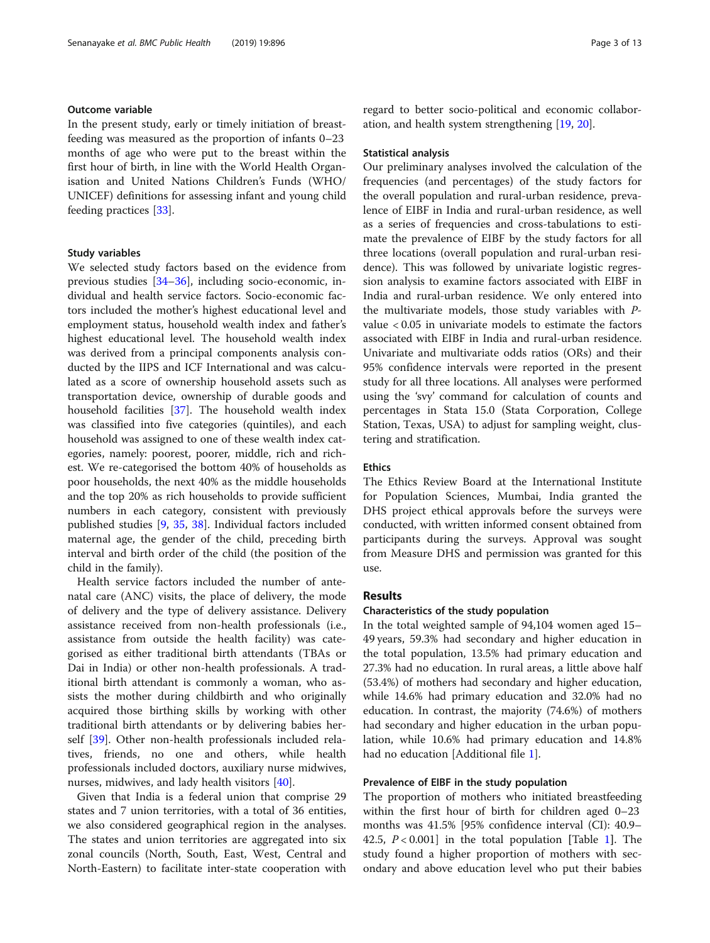## Outcome variable

In the present study, early or timely initiation of breastfeeding was measured as the proportion of infants 0–23 months of age who were put to the breast within the first hour of birth, in line with the World Health Organisation and United Nations Children's Funds (WHO/ UNICEF) definitions for assessing infant and young child feeding practices [\[33](#page-11-0)].

#### Study variables

We selected study factors based on the evidence from previous studies [\[34](#page-11-0)–[36\]](#page-11-0), including socio-economic, individual and health service factors. Socio-economic factors included the mother's highest educational level and employment status, household wealth index and father's highest educational level. The household wealth index was derived from a principal components analysis conducted by the IIPS and ICF International and was calculated as a score of ownership household assets such as transportation device, ownership of durable goods and household facilities [\[37\]](#page-11-0). The household wealth index was classified into five categories (quintiles), and each household was assigned to one of these wealth index categories, namely: poorest, poorer, middle, rich and richest. We re-categorised the bottom 40% of households as poor households, the next 40% as the middle households and the top 20% as rich households to provide sufficient numbers in each category, consistent with previously published studies [[9,](#page-11-0) [35](#page-11-0), [38\]](#page-11-0). Individual factors included maternal age, the gender of the child, preceding birth interval and birth order of the child (the position of the child in the family).

Health service factors included the number of antenatal care (ANC) visits, the place of delivery, the mode of delivery and the type of delivery assistance. Delivery assistance received from non-health professionals (i.e., assistance from outside the health facility) was categorised as either traditional birth attendants (TBAs or Dai in India) or other non-health professionals. A traditional birth attendant is commonly a woman, who assists the mother during childbirth and who originally acquired those birthing skills by working with other traditional birth attendants or by delivering babies herself [[39\]](#page-11-0). Other non-health professionals included relatives, friends, no one and others, while health professionals included doctors, auxiliary nurse midwives, nurses, midwives, and lady health visitors [\[40](#page-11-0)].

Given that India is a federal union that comprise 29 states and 7 union territories, with a total of 36 entities, we also considered geographical region in the analyses. The states and union territories are aggregated into six zonal councils (North, South, East, West, Central and North-Eastern) to facilitate inter-state cooperation with

regard to better socio-political and economic collaboration, and health system strengthening [\[19](#page-11-0), [20](#page-11-0)].

#### Statistical analysis

Our preliminary analyses involved the calculation of the frequencies (and percentages) of the study factors for the overall population and rural-urban residence, prevalence of EIBF in India and rural-urban residence, as well as a series of frequencies and cross-tabulations to estimate the prevalence of EIBF by the study factors for all three locations (overall population and rural-urban residence). This was followed by univariate logistic regression analysis to examine factors associated with EIBF in India and rural-urban residence. We only entered into the multivariate models, those study variables with Pvalue < 0.05 in univariate models to estimate the factors associated with EIBF in India and rural-urban residence. Univariate and multivariate odds ratios (ORs) and their 95% confidence intervals were reported in the present study for all three locations. All analyses were performed using the 'svy' command for calculation of counts and percentages in Stata 15.0 (Stata Corporation, College Station, Texas, USA) to adjust for sampling weight, clustering and stratification.

## **Ethics**

The Ethics Review Board at the International Institute for Population Sciences, Mumbai, India granted the DHS project ethical approvals before the surveys were conducted, with written informed consent obtained from participants during the surveys. Approval was sought from Measure DHS and permission was granted for this use.

### Results

### Characteristics of the study population

In the total weighted sample of 94,104 women aged 15– 49 years, 59.3% had secondary and higher education in the total population, 13.5% had primary education and 27.3% had no education. In rural areas, a little above half (53.4%) of mothers had secondary and higher education, while 14.6% had primary education and 32.0% had no education. In contrast, the majority (74.6%) of mothers had secondary and higher education in the urban population, while 10.6% had primary education and 14.8% had no education [Additional file [1](#page-10-0)].

## Prevalence of EIBF in the study population

The proportion of mothers who initiated breastfeeding within the first hour of birth for children aged 0–23 months was 41.5% [95% confidence interval (CI): 40.9– 42.5,  $P < 0.001$  $P < 0.001$ ] in the total population [Table 1]. The study found a higher proportion of mothers with secondary and above education level who put their babies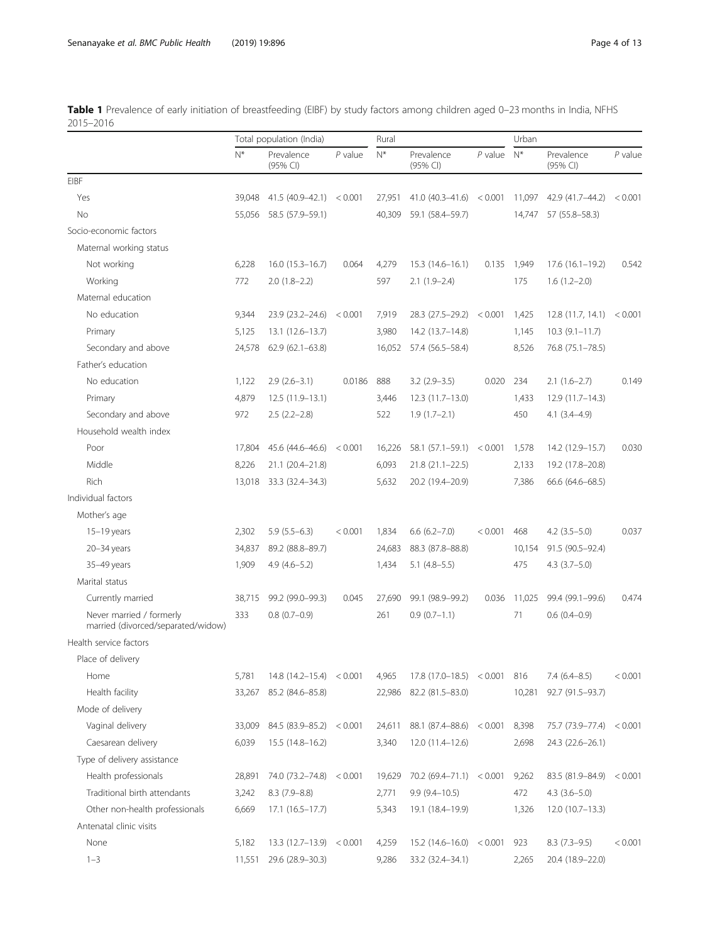|                         |        | Total population (India) |           | Rural  |                        |           | Urban  |                        |           |
|-------------------------|--------|--------------------------|-----------|--------|------------------------|-----------|--------|------------------------|-----------|
|                         | $N^*$  | Prevalence<br>(95% CI)   | $P$ value | $N^*$  | Prevalence<br>(95% CI) | $P$ value | $N^*$  | Prevalence<br>(95% CI) | $P$ value |
| <b>EIBF</b>             |        |                          |           |        |                        |           |        |                        |           |
| Yes                     | 39.048 | 41.5 (40.9-42.1)         | < 0.001   | 27,951 | $41.0(40.3 - 41.6)$    | < 0.001   | 11,097 | 42.9 (41.7-44.2)       | < 0.001   |
| <b>No</b>               | 55.056 | 58.5 (57.9-59.1)         |           | 40,309 | 59.1 (58.4-59.7)       |           | 14.747 | 57 (55.8-58.3)         |           |
| Socio-economic factors  |        |                          |           |        |                        |           |        |                        |           |
| Maternal working status |        |                          |           |        |                        |           |        |                        |           |
| Not working             | 6,228  | $16.0(15.3 - 16.7)$      | 0.064     | 4,279  | $15.3(14.6 - 16.1)$    | 0.135     | 1,949  | $17.6(16.1-19.2)$      | 0.542     |
| Working                 | 772    | $2.0(1.8-2.2)$           |           | 597    | $2.1(1.9-2.4)$         |           | 175    | $1.6(1.2-2.0)$         |           |
| Maternal education      |        |                          |           |        |                        |           |        |                        |           |
| No education            | 9,344  | 23.9 (23.2-24.6)         | < 0.001   | 7,919  | 28.3 (27.5-29.2)       | < 0.001   | 1,425  | 12.8(11.7, 14.1)       | < 0.001   |
| Primary                 | 5,125  | 13.1 (12.6-13.7)         |           | 3,980  | 14.2 (13.7-14.8)       |           | 1,145  | $10.3(9.1 - 11.7)$     |           |
| Secondary and above     | 24,578 | $62.9(62.1 - 63.8)$      |           | 16,052 | 57.4 (56.5 - 58.4)     |           | 8,526  | 76.8 (75.1 - 78.5)     |           |
| Father's education      |        |                          |           |        |                        |           |        |                        |           |
| No education            | 1,122  | $2.9(2.6-3.1)$           | 0.0186    | 888    | $3.2$ (2.9-3.5)        | 0.020     | 234    | $2.1(1.6-2.7)$         | 0.149     |
| Primary                 | 4,879  | 12.5 (11.9-13.1)         |           | 3,446  | 12.3 (11.7-13.0)       |           | 1,433  | $12.9(11.7-14.3)$      |           |
| Secondary and above     | 972    | $2.5(2.2-2.8)$           |           | 522    | $1.9(1.7-2.1)$         |           | 450    | $4.1(3.4-4.9)$         |           |
| Household wealth index  |        |                          |           |        |                        |           |        |                        |           |

<span id="page-3-0"></span>Table 1 Prevalence of early initiation of breastfeeding (EIBF) by study factors among children aged 0-23 months in India, NFHS 2015–2016

| Poor                                                           | 17.804 | 45.6 (44.6-46.6)    | < 0.001 | 16,226 | $58.1 (57.1 - 59.1) < 0.001$ |         | 1,578  | 14.2 (12.9-15.7)  | 0.030   |
|----------------------------------------------------------------|--------|---------------------|---------|--------|------------------------------|---------|--------|-------------------|---------|
| Middle                                                         | 8,226  | 21.1 (20.4-21.8)    |         | 6,093  | $21.8(21.1 - 22.5)$          |         | 2,133  | 19.2 (17.8-20.8)  |         |
| <b>Rich</b>                                                    | 13,018 | 33.3 (32.4-34.3)    |         | 5,632  | 20.2 (19.4-20.9)             |         | 7,386  | 66.6 (64.6-68.5)  |         |
| Individual factors                                             |        |                     |         |        |                              |         |        |                   |         |
| Mother's age                                                   |        |                     |         |        |                              |         |        |                   |         |
| $15-19$ years                                                  | 2,302  | $5.9(5.5-6.3)$      | < 0.001 | 1,834  | $6.6(6.2 - 7.0)$             | < 0.001 | 468    | $4.2$ $(3.5-5.0)$ | 0.037   |
| $20 - 34$ years                                                | 34,837 | 89.2 (88.8-89.7)    |         | 24,683 | 88.3 (87.8-88.8)             |         | 10,154 | 91.5 (90.5-92.4)  |         |
| 35-49 years                                                    | 1,909  | $4.9(4.6 - 5.2)$    |         | 1,434  | $5.1(4.8-5.5)$               |         | 475    | $4.3(3.7-5.0)$    |         |
| Marital status                                                 |        |                     |         |        |                              |         |        |                   |         |
| Currently married                                              | 38,715 | 99.2 (99.0-99.3)    | 0.045   | 27,690 | 99.1 (98.9-99.2)             | 0.036   | 11,025 | 99.4 (99.1-99.6)  | 0.474   |
| Never married / formerly<br>married (divorced/separated/widow) | 333    | $0.8(0.7-0.9)$      |         | 261    | $0.9(0.7-1.1)$               |         | 71     | $0.6(0.4-0.9)$    |         |
| Health service factors                                         |        |                     |         |        |                              |         |        |                   |         |
| Place of delivery                                              |        |                     |         |        |                              |         |        |                   |         |
| Home                                                           | 5,781  | 14.8 (14.2-15.4)    | < 0.001 | 4,965  | $17.8(17.0-18.5) < 0.001$    |         | 816    | $7.4(6.4 - 8.5)$  | < 0.001 |
| Health facility                                                | 33,267 | 85.2 (84.6-85.8)    |         | 22,986 | 82.2 (81.5-83.0)             |         | 10,281 | 92.7 (91.5-93.7)  |         |
| Mode of delivery                                               |        |                     |         |        |                              |         |        |                   |         |
| Vaginal delivery                                               | 33,009 | 84.5 (83.9-85.2)    | < 0.001 | 24,611 | 88.1 (87.4-88.6)             | < 0.001 | 8,398  | 75.7 (73.9-77.4)  | < 0.001 |
| Caesarean delivery                                             | 6,039  | 15.5 (14.8-16.2)    |         | 3,340  | 12.0 (11.4-12.6)             |         | 2,698  | 24.3 (22.6-26.1)  |         |
| Type of delivery assistance                                    |        |                     |         |        |                              |         |        |                   |         |
| Health professionals                                           | 28,891 | 74.0 (73.2-74.8)    | < 0.001 | 19,629 | $70.2(69.4-71.1) < 0.001$    |         | 9,262  | 83.5 (81.9-84.9)  | < 0.001 |
| Traditional birth attendants                                   | 3,242  | $8.3(7.9 - 8.8)$    |         | 2,771  | $9.9(9.4 - 10.5)$            |         | 472    | $4.3(3.6 - 5.0)$  |         |
| Other non-health professionals                                 | 6,669  | $17.1(16.5 - 17.7)$ |         | 5,343  | 19.1 (18.4-19.9)             |         | 1,326  | $12.0(10.7-13.3)$ |         |
| Antenatal clinic visits                                        |        |                     |         |        |                              |         |        |                   |         |
| None                                                           | 5,182  | 13.3 (12.7-13.9)    | < 0.001 | 4,259  | $15.2$ (14.6-16.0) < 0.001   |         | 923    | $8.3(7.3-9.5)$    | < 0.001 |
| $1 - 3$                                                        | 11,551 | 29.6 (28.9-30.3)    |         | 9,286  | 33.2 (32.4-34.1)             |         | 2,265  | 20.4 (18.9-22.0)  |         |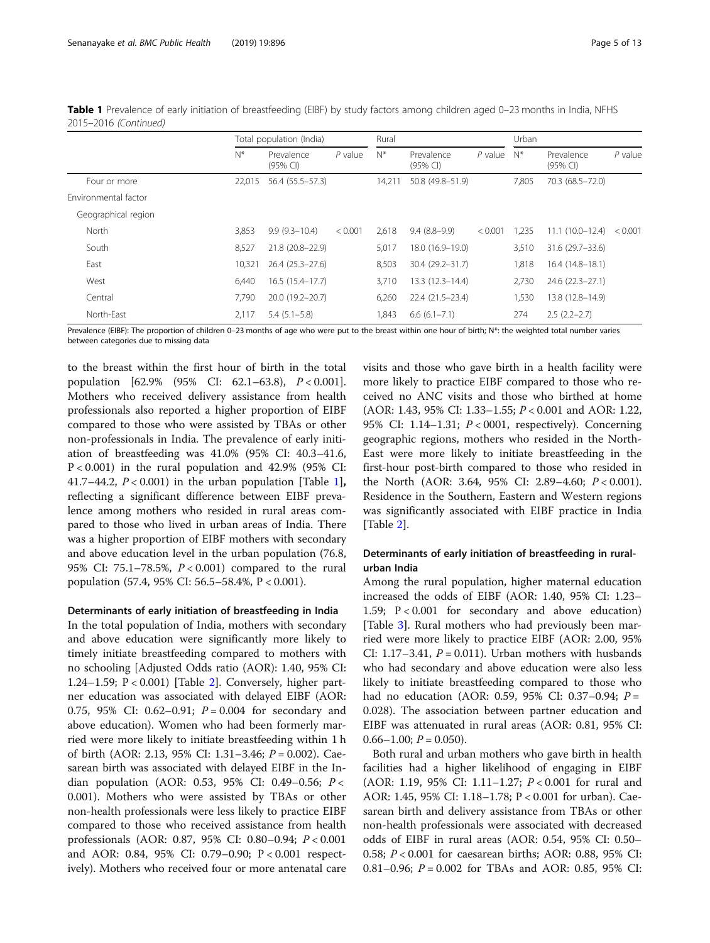| Table 1 Prevalence of early initiation of breastfeeding (EIBF) by study factors among children aged 0-23 months in India, NFHS |  |  |
|--------------------------------------------------------------------------------------------------------------------------------|--|--|
| 2015-2016 (Continued)                                                                                                          |  |  |

|                      |        | Total population (India) |           | Rural  |                        |           | Urban |                        |           |
|----------------------|--------|--------------------------|-----------|--------|------------------------|-----------|-------|------------------------|-----------|
|                      | $N^*$  | Prevalence<br>$(95%$ CI) | $P$ value | $N^*$  | Prevalence<br>(95% CI) | $P$ value | $N^*$ | Prevalence<br>(95% CI) | $P$ value |
| Four or more         | 22,015 | 56.4 (55.5–57.3)         |           | 14,211 | 50.8 (49.8-51.9)       |           | 7,805 | 70.3 (68.5 - 72.0)     |           |
| Environmental factor |        |                          |           |        |                        |           |       |                        |           |
| Geographical region  |        |                          |           |        |                        |           |       |                        |           |
| North                | 3,853  | $9.9(9.3 - 10.4)$        | < 0.001   | 2,618  | $9.4(8.8-9.9)$         | < 0.001   | 1,235 | $11.1(10.0-12.4)$      | < 0.001   |
| South                | 8,527  | 21.8 (20.8-22.9)         |           | 5,017  | 18.0 (16.9-19.0)       |           | 3,510 | 31.6 (29.7–33.6)       |           |
| East                 | 10,321 | $26.4(25.3-27.6)$        |           | 8,503  | 30.4 (29.2-31.7)       |           | 1,818 | $16.4(14.8-18.1)$      |           |
| West                 | 6,440  | $16.5(15.4 - 17.7)$      |           | 3,710  | $13.3(12.3 - 14.4)$    |           | 2,730 | 24.6 (22.3–27.1)       |           |
| Central              | 7.790  | 20.0 (19.2-20.7)         |           | 6,260  | 22.4 (21.5-23.4)       |           | 1,530 | 13.8 (12.8-14.9)       |           |
| North-East           | 2,117  | $5.4(5.1-5.8)$           |           | 1,843  | $6.6(6.1 - 7.1)$       |           | 274   | $2.5(2.2-2.7)$         |           |

Prevalence (EIBF): The proportion of children 0-23 months of age who were put to the breast within one hour of birth; N\*: the weighted total number varies between categories due to missing data

to the breast within the first hour of birth in the total population [62.9% (95% CI: 62.1–63.8), P < 0.001]. Mothers who received delivery assistance from health professionals also reported a higher proportion of EIBF compared to those who were assisted by TBAs or other non-professionals in India. The prevalence of early initiation of breastfeeding was 41.0% (95% CI: 40.3–41.6,  $P < 0.001$ ) in the rural population and 42.9% (95% CI: 4[1](#page-3-0).7–44.2,  $P < 0.001$ ) in the urban population [Table 1], reflecting a significant difference between EIBF prevalence among mothers who resided in rural areas compared to those who lived in urban areas of India. There was a higher proportion of EIBF mothers with secondary and above education level in the urban population (76.8, 95% CI: 75.1–78.5%, P < 0.001) compared to the rural population (57.4, 95% CI: 56.5–58.4%, P < 0.001).

## Determinants of early initiation of breastfeeding in India

In the total population of India, mothers with secondary and above education were significantly more likely to timely initiate breastfeeding compared to mothers with no schooling [Adjusted Odds ratio (AOR): 1.40, 95% CI: 1.24–1.59; P < 0.001) [Table [2](#page-5-0)]. Conversely, higher partner education was associated with delayed EIBF (AOR: 0.75, 95% CI: 0.62-0.91;  $P = 0.004$  for secondary and above education). Women who had been formerly married were more likely to initiate breastfeeding within 1 h of birth (AOR: 2.13, 95% CI: 1.31–3.46; P = 0.002). Caesarean birth was associated with delayed EIBF in the Indian population (AOR: 0.53, 95% CI: 0.49–0.56; P < 0.001). Mothers who were assisted by TBAs or other non-health professionals were less likely to practice EIBF compared to those who received assistance from health professionals (AOR: 0.87, 95% CI: 0.80–0.94; P < 0.001 and AOR: 0.84, 95% CI: 0.79–0.90; P < 0.001 respectively). Mothers who received four or more antenatal care visits and those who gave birth in a health facility were more likely to practice EIBF compared to those who received no ANC visits and those who birthed at home (AOR: 1.43, 95% CI: 1.33–1.55; P < 0.001 and AOR: 1.22, 95% CI: 1.14–1.31; P < 0001, respectively). Concerning geographic regions, mothers who resided in the North-East were more likely to initiate breastfeeding in the first-hour post-birth compared to those who resided in the North (AOR: 3.64, 95% CI: 2.89–4.60; P < 0.001). Residence in the Southern, Eastern and Western regions was significantly associated with EIBF practice in India [Table [2](#page-5-0)].

## Determinants of early initiation of breastfeeding in ruralurban India

Among the rural population, higher maternal education increased the odds of EIBF (AOR: 1.40, 95% CI: 1.23– 1.59; P < 0.001 for secondary and above education) [Table [3](#page-6-0)]. Rural mothers who had previously been married were more likely to practice EIBF (AOR: 2.00, 95% CI: 1.17–3.41,  $P = 0.011$ ). Urban mothers with husbands who had secondary and above education were also less likely to initiate breastfeeding compared to those who had no education (AOR: 0.59, 95% CI: 0.37–0.94; P = 0.028). The association between partner education and EIBF was attenuated in rural areas (AOR: 0.81, 95% CI: 0.66–1.00;  $P = 0.050$ ).

Both rural and urban mothers who gave birth in health facilities had a higher likelihood of engaging in EIBF (AOR: 1.19, 95% CI: 1.11–1.27; P < 0.001 for rural and AOR: 1.45, 95% CI: 1.18–1.78; P < 0.001 for urban). Caesarean birth and delivery assistance from TBAs or other non-health professionals were associated with decreased odds of EIBF in rural areas (AOR: 0.54, 95% CI: 0.50– 0.58; P < 0.001 for caesarean births; AOR: 0.88, 95% CI: 0.81–0.96;  $P = 0.002$  for TBAs and AOR: 0.85, 95% CI: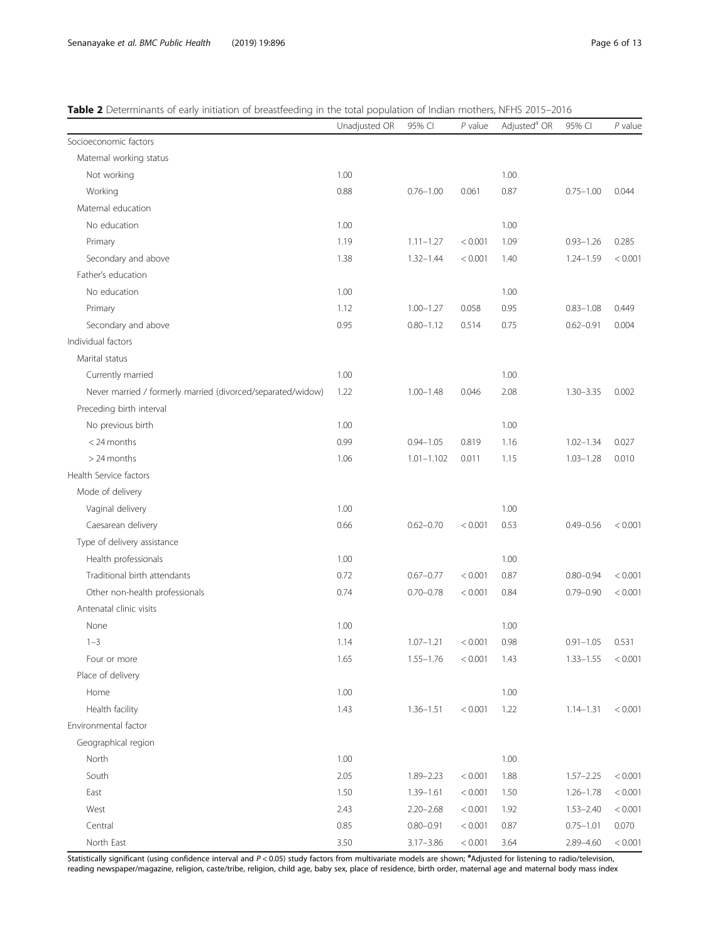<span id="page-5-0"></span>

|                                                             | Unadjusted OR | 95% CI         | $P$ value | Adjusted <sup>a</sup> OR | 95% CI        | $P$ value |
|-------------------------------------------------------------|---------------|----------------|-----------|--------------------------|---------------|-----------|
| Socioeconomic factors                                       |               |                |           |                          |               |           |
| Maternal working status                                     |               |                |           |                          |               |           |
| Not working                                                 | 1.00          |                |           | 1.00                     |               |           |
| Working                                                     | 0.88          | $0.76 - 1.00$  | 0.061     | 0.87                     | $0.75 - 1.00$ | 0.044     |
| Maternal education                                          |               |                |           |                          |               |           |
| No education                                                | 1.00          |                |           | 1.00                     |               |           |
| Primary                                                     | 1.19          | $1.11 - 1.27$  | < 0.001   | 1.09                     | $0.93 - 1.26$ | 0.285     |
| Secondary and above                                         | 1.38          | $1.32 - 1.44$  | < 0.001   | 1.40                     | $1.24 - 1.59$ | < 0.001   |
| Father's education                                          |               |                |           |                          |               |           |
| No education                                                | 1.00          |                |           | 1.00                     |               |           |
| Primary                                                     | 1.12          | $1.00 - 1.27$  | 0.058     | 0.95                     | $0.83 - 1.08$ | 0.449     |
| Secondary and above                                         | 0.95          | $0.80 - 1.12$  | 0.514     | 0.75                     | $0.62 - 0.91$ | 0.004     |
| Individual factors                                          |               |                |           |                          |               |           |
| Marital status                                              |               |                |           |                          |               |           |
| Currently married                                           | 1.00          |                |           | 1.00                     |               |           |
| Never married / formerly married (divorced/separated/widow) | 1.22          | $1.00 - 1.48$  | 0.046     | 2.08                     | $1.30 - 3.35$ | 0.002     |
| Preceding birth interval                                    |               |                |           |                          |               |           |
| No previous birth                                           | 1.00          |                |           | 1.00                     |               |           |
| $<$ 24 months                                               | 0.99          | $0.94 - 1.05$  | 0.819     | 1.16                     | $1.02 - 1.34$ | 0.027     |
| $> 24$ months                                               | 1.06          | $1.01 - 1.102$ | 0.011     | 1.15                     | $1.03 - 1.28$ | 0.010     |
| Health Service factors                                      |               |                |           |                          |               |           |
| Mode of delivery                                            |               |                |           |                          |               |           |
| Vaginal delivery                                            | 1.00          |                |           | 1.00                     |               |           |
| Caesarean delivery                                          | 0.66          | $0.62 - 0.70$  | < 0.001   | 0.53                     | $0.49 - 0.56$ | < 0.001   |
| Type of delivery assistance                                 |               |                |           |                          |               |           |
| Health professionals                                        | 1.00          |                |           | 1.00                     |               |           |
| Traditional birth attendants                                | 0.72          | $0.67 - 0.77$  | < 0.001   | 0.87                     | $0.80 - 0.94$ | < 0.001   |
| Other non-health professionals                              | 0.74          | $0.70 - 0.78$  | < 0.001   | 0.84                     | $0.79 - 0.90$ | < 0.001   |
| Antenatal clinic visits                                     |               |                |           |                          |               |           |
| None                                                        | 1.00          |                |           | 1.00                     |               |           |
| $1 - 3$                                                     | 1.14          | $1.07 - 1.21$  | < 0.001   | 0.98                     | $0.91 - 1.05$ | 0.531     |
| Four or more                                                | 1.65          | $1.55 - 1.76$  | < 0.001   | 1.43                     | $1.33 - 1.55$ | < 0.001   |
| Place of delivery                                           |               |                |           |                          |               |           |
| Home                                                        | 1.00          |                |           | 1.00                     |               |           |
| Health facility                                             | 1.43          | $1.36 - 1.51$  | < 0.001   | 1.22                     | $1.14 - 1.31$ | < 0.001   |
| Environmental factor                                        |               |                |           |                          |               |           |
| Geographical region                                         |               |                |           |                          |               |           |
| North                                                       | 1.00          |                |           | 1.00                     |               |           |
| South                                                       | 2.05          | 1.89-2.23      | < 0.001   | 1.88                     | $1.57 - 2.25$ | < 0.001   |
| East                                                        | 1.50          | $1.39 - 1.61$  | < 0.001   | 1.50                     | $1.26 - 1.78$ | < 0.001   |
| West                                                        | 2.43          | $2.20 - 2.68$  | < 0.001   | 1.92                     | $1.53 - 2.40$ | < 0.001   |
| Central                                                     | 0.85          | $0.80 - 0.91$  | < 0.001   | 0.87                     | $0.75 - 1.01$ | 0.070     |
| North East                                                  | 3.50          | $3.17 - 3.86$  | < 0.001   | 3.64                     | 2.89-4.60     | < 0.001   |

Statistically significant (using confidence interval and P < 0.05) study factors from multivariate models are shown; <sup>a</sup>Adjusted for listening to radio/television, reading newspaper/magazine, religion, caste/tribe, religion, child age, baby sex, place of residence, birth order, maternal age and maternal body mass index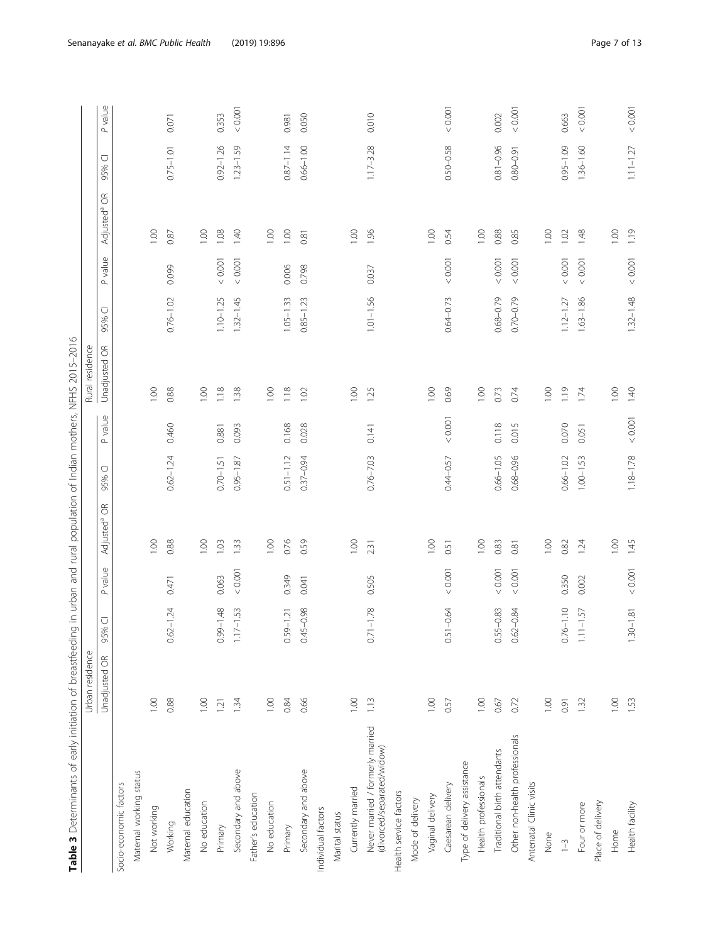<span id="page-6-0"></span>

| Table 3 Determinants of early initiation of breastfeeding in urban and rural population of Indian mothers, NFHS 2015-2016 |                 |               |          |                          |               |          |                 |               |          |                          |                          |         |
|---------------------------------------------------------------------------------------------------------------------------|-----------------|---------------|----------|--------------------------|---------------|----------|-----------------|---------------|----------|--------------------------|--------------------------|---------|
|                                                                                                                           | Urban residence |               |          |                          |               |          | Rural residence |               |          |                          |                          |         |
|                                                                                                                           | Unadjusted OR   | 95% CI        | P value  | Adjusted <sup>ª</sup> OR | 95% CI        | P value  | Unadjusted OR   | 95% CI        | P value  | Adjusted <sup>ª</sup> OR | $\overline{\cup}$<br>95% | P value |
| Socio-economic factors                                                                                                    |                 |               |          |                          |               |          |                 |               |          |                          |                          |         |
| Maternal working status                                                                                                   |                 |               |          |                          |               |          |                 |               |          |                          |                          |         |
| Not working                                                                                                               | 1.00            |               |          | 1.00                     |               |          | 0.00            |               |          | 0.00                     |                          |         |
| Working                                                                                                                   | 0.88            | $0.62 - 1.24$ | 0.471    | 0.88                     | $0.62 - 1.24$ | 0.460    | 0.88            | $0.76 - 1.02$ | 0.099    | 0.87                     | $0.75 - 1.01$            | 0.071   |
| Maternal education                                                                                                        |                 |               |          |                          |               |          |                 |               |          |                          |                          |         |
| No education                                                                                                              | 1.00            |               |          | 1.00                     |               |          | 1.00            |               |          | 0.00                     |                          |         |
| Primary                                                                                                                   | 1.21            | $0.99 - 1.48$ | 0.063    | 1.03                     | $0.70 - 1.51$ | 0.881    | 1.18            | $1.10 - 1.25$ | 0.001    | 1.08                     | $0.92 - 1.26$            | 0.353   |
| Secondary and above                                                                                                       | 1.34            | $1.17 - 1.53$ | < 0.001  | 1.33                     | $0.95 - 1.87$ | 0.093    | 1.38            | $1.32 - 1.45$ | < 0.001  | 1.40                     | $1.23 - 1.59$            | 0.001   |
| Father's education                                                                                                        |                 |               |          |                          |               |          |                 |               |          |                          |                          |         |
| No education                                                                                                              | 1.00            |               |          | 1.00                     |               |          | 1.00            |               |          | 0.00                     |                          |         |
| Primary                                                                                                                   | 0.84            | $0.59 - 1.21$ | 0.349    | 0.76                     | $0.51 - 1.12$ | 0.168    | 1.18            | $1.05 - 1.33$ | 0.006    | 1.00                     | $0.87 - 1.14$            | 0.981   |
| Secondary and above                                                                                                       | 0.66            | $0.45 - 0.98$ | 0.041    | 0.59                     | $0.37 - 0.94$ | 0.028    | 1.02            | $0.85 - 1.23$ | 0.798    | 0.81                     | $0.66 - 1.00$            | 0.050   |
| Individual factors                                                                                                        |                 |               |          |                          |               |          |                 |               |          |                          |                          |         |
| Marital status                                                                                                            |                 |               |          |                          |               |          |                 |               |          |                          |                          |         |
| Currently married                                                                                                         | 1.00            |               |          | 1.00                     |               |          | 1.00            |               |          | 1.00                     |                          |         |
| Never married / formerly married<br>(divorced/separated/widow)                                                            | 1.13            | $0.71 - 1.78$ | 0.505    | 231                      | $0.76 - 7.03$ | 0.141    | 1.25            | $1.01 - 1.56$ | 0.037    | 1.96                     | $1.17 - 3.28$            | 0.010   |
| Health service factors                                                                                                    |                 |               |          |                          |               |          |                 |               |          |                          |                          |         |
| Mode of delivery                                                                                                          |                 |               |          |                          |               |          |                 |               |          |                          |                          |         |
| Vaginal delivery                                                                                                          | 1.00            |               |          | 1.00                     |               |          | 0.00            |               |          | 00.1                     |                          |         |
| Caesarean delivery                                                                                                        | 0.57            | $0.51 - 0.64$ | < 0.001  | 0.51                     | $0.44 - 0.57$ | < 0.001  | 0.69            | $0.64 - 0.73$ | < 0.001  | 0.54                     | $0.50 - 0.58$            | 10000   |
| Type of delivery assistance                                                                                               |                 |               |          |                          |               |          |                 |               |          |                          |                          |         |
| Health professionals                                                                                                      | 1.00            |               |          | 1.00                     |               |          | 1.00            |               |          | 1.00                     |                          |         |
| Traditional birth attendants                                                                                              | 0.67            | $0.55 - 0.83$ | < 0.001  | 0.83                     | $0.66 - 1.05$ | 0.118    | 0.73            | $0.68 - 0.79$ | < 0.001  | 0.88                     | $0.81 - 0.96$            | 0.002   |
| Other non-health professionals                                                                                            | 0.72            | $0.62 - 0.84$ | < 0.001  | 0.81                     | $0.68 - 0.96$ | 0.015    | 0.74            | $0.70 - 0.79$ | 0.001    | 0.85                     | $0.80 - 0.91$            | 10000   |
| Antenatal Clinic visits                                                                                                   |                 |               |          |                          |               |          |                 |               |          |                          |                          |         |
| None                                                                                                                      | 1.00            |               |          | 1.00                     |               |          | 0.00            |               |          | 0.00                     |                          |         |
| $\sqrt{-3}$                                                                                                               | 0.91            | $0.76 - 1.10$ | 0.350    | 0.82                     | $0.66 - 1.02$ | 0.070    | 1.19            | $1.12 - 1.27$ | < 0.001  | 1.02                     | $0.95 - 1.09$            | 0.663   |
| Four or more                                                                                                              | 1.32            | $1.11 - 1.57$ | 0.002    | 1.24                     | $1.00 - 1.53$ | 0.051    | 1.74            | $1.63 - 1.86$ | $<0.001$ | 1.48                     | $1.36 - 1.60$            | 10000   |
| Place of delivery                                                                                                         |                 |               |          |                          |               |          |                 |               |          |                          |                          |         |
| Home                                                                                                                      | 0.00            |               |          | 1.00                     |               |          | 1.00            |               |          | 1.00                     |                          |         |
| Health facility                                                                                                           | 1.53            | $1.30 - 1.81$ | $<0.001$ | 1.45                     | $1.18 - 1.78$ | $<0.001$ | 1.40            | $1.32 - 1.48$ | $<0.001$ | 1.19                     | $1.11 - 1.27$            | < 0.001 |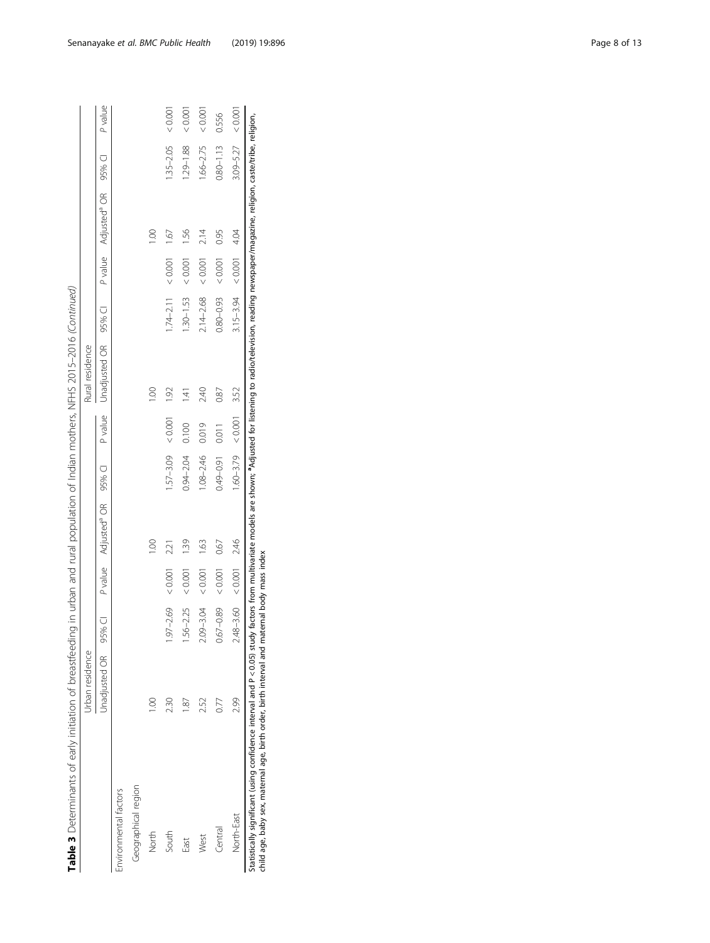| Table 3 Determinants of early initiation of breastfeeding in urban and rural population of Indian mothers, NFHS 2015-2016 (Continued) |                 |                           |                |                            |                                                                                                               |                            |                            |   |                       |  |
|---------------------------------------------------------------------------------------------------------------------------------------|-----------------|---------------------------|----------------|----------------------------|---------------------------------------------------------------------------------------------------------------|----------------------------|----------------------------|---|-----------------------|--|
|                                                                                                                                       | Jrban residence |                           |                |                            | Rural residence                                                                                               |                            |                            |   |                       |  |
|                                                                                                                                       |                 |                           |                |                            | Dradjusted OR 95% OR Pvalue Adjusted® OR Pvalue Unadjusted OR 95% OR 95% OR Pvalue Adjusted® OR 95% OR Pvalue |                            |                            |   |                       |  |
| Environmental factors                                                                                                                 |                 |                           |                |                            |                                                                                                               |                            |                            |   |                       |  |
| Geographical region                                                                                                                   |                 |                           |                |                            |                                                                                                               |                            |                            |   |                       |  |
| North                                                                                                                                 |                 |                           | $\frac{8}{10}$ |                            | S                                                                                                             |                            |                            | S |                       |  |
| South                                                                                                                                 | 230             | $-97-2.69$ < 0.001 2.21   |                | $1.57 - 3.09$ < 0.001 1.92 |                                                                                                               |                            | $1.74 - 2.11 < 0.001$ 1.67 |   | $-35 - 2.05 < 0.001$  |  |
| East                                                                                                                                  | œ               | $-56 - 2.25 < 0.001$ 1.39 |                | $0.94 - 2.04$ $0.100$ 1.41 |                                                                                                               | $1.30 - 1.53 < 0.001$ 1.56 |                            |   | $1.29 - 1.88$ < 0.001 |  |

Statistically significant (using confidence interval and P < 0.05) study factors from multivariate models are shown; "Adjusted for listening to radio/television, reading newspaper/magazine, religion, caste/tribe, religion, Statistically significant (using confidence interval and P < 0.05) study factors from multivariate models are shown; aAdjusted for listening to radio/television, reading newspaper/magazine, religion, caste/tribe, religion, child age, baby sex, maternal age, birth order, birth interval and maternal body mass index

246 0.67

North-East Central

West 2.52 2.09–3.04 < 0.001 1.63 1.09–2.46 0.019 2.40 2.14–2.68 < 0.001 2.14 1.66–2.75 < 0.001 2.14 Central 0.77 0.67–0.89 < 0.001 0.67 0.49–0.91 0.011 0.87 0.80–0.93 < 0.001 0.95 0.80–1.13 0.556 North-East 2.99 2.48–3.60 < 0.001 2.46 1.60–3.79 < 0.001 3.52 3.15–3.94 < 0.001 4.04 3.09–5.27 < 0.001

 $1.63$ 

 $<0.001$ 

2.09-3.04  $0.67 - 0.89$ 2.48-3.60

252  $0.77$ 2.99

West

 $< 0.001$  $< 0.001$ 

 $1.08 - 2.46$  $0.49 - 0.91$  $1.60 - 3.79$ 

 $10000$ 

 $1.66 - 2.75$  $0.80 - 1.13$  $3.09 - 5.27$ 

 $2.14$ 0.95 4.04

 $< 0.001$ 

 $2.14 - 2.68$ 0.80-0.93  $3.15 - 3.94$ 

2.40  $0.87$ 3.52

0.019  $0.011$   $< 0.001$ 

 $< 0.001$  $10000$ 

0.556

 $< 0.001$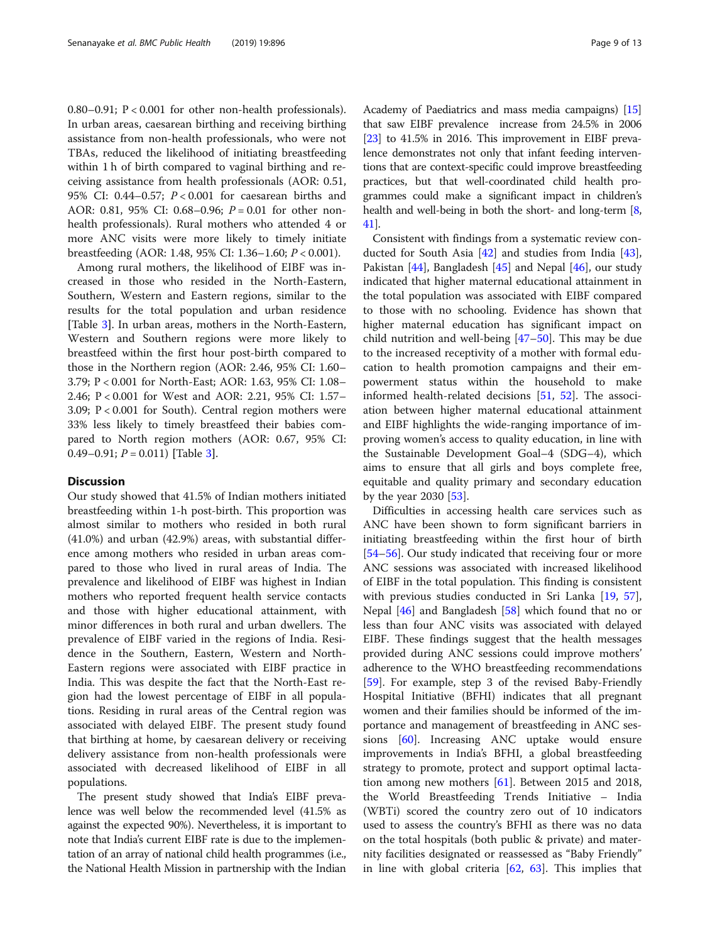0.80–0.91; P < 0.001 for other non-health professionals). In urban areas, caesarean birthing and receiving birthing assistance from non-health professionals, who were not TBAs, reduced the likelihood of initiating breastfeeding within 1 h of birth compared to vaginal birthing and receiving assistance from health professionals (AOR: 0.51, 95% CI: 0.44–0.57; P < 0.001 for caesarean births and AOR: 0.81, 95% CI: 0.68–0.96;  $P = 0.01$  for other nonhealth professionals). Rural mothers who attended 4 or more ANC visits were more likely to timely initiate breastfeeding (AOR: 1.48, 95% CI: 1.36–1.60; P < 0.001).

Among rural mothers, the likelihood of EIBF was increased in those who resided in the North-Eastern, Southern, Western and Eastern regions, similar to the results for the total population and urban residence [Table [3](#page-6-0)]. In urban areas, mothers in the North-Eastern, Western and Southern regions were more likely to breastfeed within the first hour post-birth compared to those in the Northern region (AOR: 2.46, 95% CI: 1.60– 3.79; P < 0.001 for North-East; AOR: 1.63, 95% CI: 1.08– 2.46; P < 0.001 for West and AOR: 2.21, 95% CI: 1.57– 3.09; P < 0.001 for South). Central region mothers were 33% less likely to timely breastfeed their babies compared to North region mothers (AOR: 0.67, 95% CI: 0.49–0.91;  $P = 0.011$  [Table [3](#page-6-0)].

## **Discussion**

Our study showed that 41.5% of Indian mothers initiated breastfeeding within 1-h post-birth. This proportion was almost similar to mothers who resided in both rural (41.0%) and urban (42.9%) areas, with substantial difference among mothers who resided in urban areas compared to those who lived in rural areas of India. The prevalence and likelihood of EIBF was highest in Indian mothers who reported frequent health service contacts and those with higher educational attainment, with minor differences in both rural and urban dwellers. The prevalence of EIBF varied in the regions of India. Residence in the Southern, Eastern, Western and North-Eastern regions were associated with EIBF practice in India. This was despite the fact that the North-East region had the lowest percentage of EIBF in all populations. Residing in rural areas of the Central region was associated with delayed EIBF. The present study found that birthing at home, by caesarean delivery or receiving delivery assistance from non-health professionals were associated with decreased likelihood of EIBF in all populations.

The present study showed that India's EIBF prevalence was well below the recommended level (41.5% as against the expected 90%). Nevertheless, it is important to note that India's current EIBF rate is due to the implementation of an array of national child health programmes (i.e., the National Health Mission in partnership with the Indian

Academy of Paediatrics and mass media campaigns) [\[15](#page-11-0)] that saw EIBF prevalence increase from 24.5% in 2006 [[23](#page-11-0)] to 41.5% in 2016. This improvement in EIBF prevalence demonstrates not only that infant feeding interventions that are context-specific could improve breastfeeding practices, but that well-coordinated child health programmes could make a significant impact in children's health and well-being in both the short- and long-term [[8](#page-11-0), [41](#page-11-0)].

Consistent with findings from a systematic review conducted for South Asia [\[42](#page-11-0)] and studies from India [\[43](#page-11-0)], Pakistan  $[44]$  $[44]$ , Bangladesh  $[45]$  and Nepal  $[46]$  $[46]$ , our study indicated that higher maternal educational attainment in the total population was associated with EIBF compared to those with no schooling. Evidence has shown that higher maternal education has significant impact on child nutrition and well-being [[47](#page-11-0)–[50](#page-11-0)]. This may be due to the increased receptivity of a mother with formal education to health promotion campaigns and their empowerment status within the household to make informed health-related decisions [\[51](#page-11-0), [52\]](#page-12-0). The association between higher maternal educational attainment and EIBF highlights the wide-ranging importance of improving women's access to quality education, in line with the Sustainable Development Goal–4 (SDG–4), which aims to ensure that all girls and boys complete free, equitable and quality primary and secondary education by the year 2030 [[53](#page-12-0)].

Difficulties in accessing health care services such as ANC have been shown to form significant barriers in initiating breastfeeding within the first hour of birth [[54](#page-12-0)–[56](#page-12-0)]. Our study indicated that receiving four or more ANC sessions was associated with increased likelihood of EIBF in the total population. This finding is consistent with previous studies conducted in Sri Lanka [[19,](#page-11-0) [57](#page-12-0)], Nepal [[46](#page-11-0)] and Bangladesh [[58\]](#page-12-0) which found that no or less than four ANC visits was associated with delayed EIBF. These findings suggest that the health messages provided during ANC sessions could improve mothers' adherence to the WHO breastfeeding recommendations [[59\]](#page-12-0). For example, step 3 of the revised Baby-Friendly Hospital Initiative (BFHI) indicates that all pregnant women and their families should be informed of the importance and management of breastfeeding in ANC sessions [\[60](#page-12-0)]. Increasing ANC uptake would ensure improvements in India's BFHI, a global breastfeeding strategy to promote, protect and support optimal lactation among new mothers  $[61]$  $[61]$ . Between 2015 and 2018, the World Breastfeeding Trends Initiative – India (WBTi) scored the country zero out of 10 indicators used to assess the country's BFHI as there was no data on the total hospitals (both public & private) and maternity facilities designated or reassessed as "Baby Friendly" in line with global criteria [[62](#page-12-0), [63\]](#page-12-0). This implies that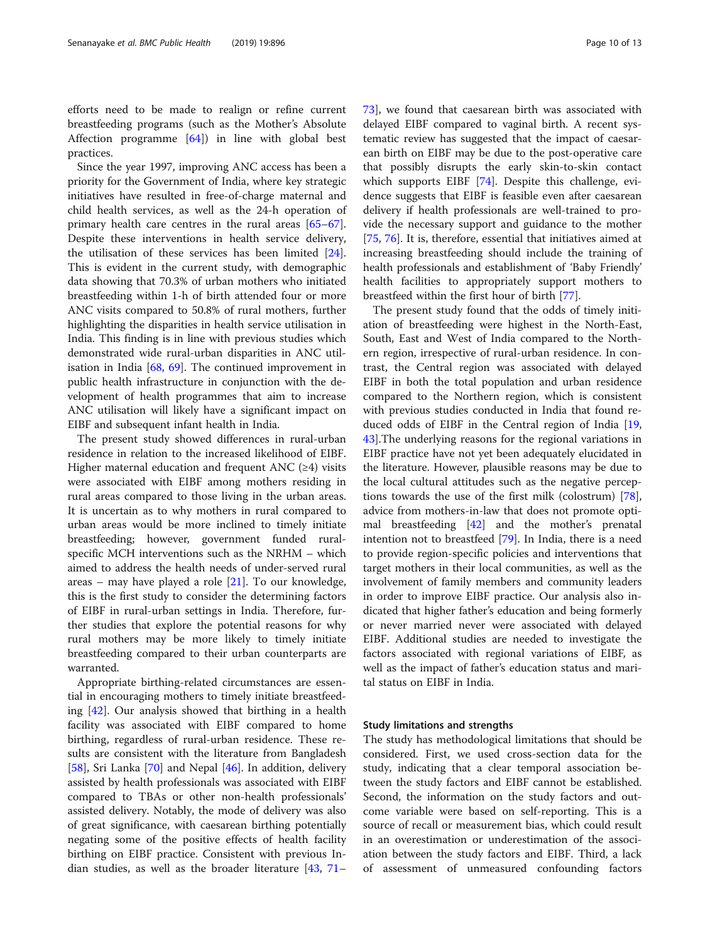efforts need to be made to realign or refine current breastfeeding programs (such as the Mother's Absolute Affection programme [[64\]](#page-12-0)) in line with global best practices.

Since the year 1997, improving ANC access has been a priority for the Government of India, where key strategic initiatives have resulted in free-of-charge maternal and child health services, as well as the 24-h operation of primary health care centres in the rural areas [[65](#page-12-0)–[67](#page-12-0)]. Despite these interventions in health service delivery, the utilisation of these services has been limited [\[24](#page-11-0)]. This is evident in the current study, with demographic data showing that 70.3% of urban mothers who initiated breastfeeding within 1-h of birth attended four or more ANC visits compared to 50.8% of rural mothers, further highlighting the disparities in health service utilisation in India. This finding is in line with previous studies which demonstrated wide rural-urban disparities in ANC utilisation in India [\[68,](#page-12-0) [69](#page-12-0)]. The continued improvement in public health infrastructure in conjunction with the development of health programmes that aim to increase ANC utilisation will likely have a significant impact on EIBF and subsequent infant health in India.

The present study showed differences in rural-urban residence in relation to the increased likelihood of EIBF. Higher maternal education and frequent ANC  $(≥4)$  visits were associated with EIBF among mothers residing in rural areas compared to those living in the urban areas. It is uncertain as to why mothers in rural compared to urban areas would be more inclined to timely initiate breastfeeding; however, government funded ruralspecific MCH interventions such as the NRHM – which aimed to address the health needs of under-served rural areas – may have played a role [\[21](#page-11-0)]. To our knowledge, this is the first study to consider the determining factors of EIBF in rural-urban settings in India. Therefore, further studies that explore the potential reasons for why rural mothers may be more likely to timely initiate breastfeeding compared to their urban counterparts are warranted.

Appropriate birthing-related circumstances are essential in encouraging mothers to timely initiate breastfeeding [[42\]](#page-11-0). Our analysis showed that birthing in a health facility was associated with EIBF compared to home birthing, regardless of rural-urban residence. These results are consistent with the literature from Bangladesh [[58\]](#page-12-0), Sri Lanka [\[70](#page-12-0)] and Nepal [\[46](#page-11-0)]. In addition, delivery assisted by health professionals was associated with EIBF compared to TBAs or other non-health professionals' assisted delivery. Notably, the mode of delivery was also of great significance, with caesarean birthing potentially negating some of the positive effects of health facility birthing on EIBF practice. Consistent with previous Indian studies, as well as the broader literature [\[43](#page-11-0), [71](#page-12-0)– [73\]](#page-12-0), we found that caesarean birth was associated with delayed EIBF compared to vaginal birth. A recent systematic review has suggested that the impact of caesarean birth on EIBF may be due to the post-operative care that possibly disrupts the early skin-to-skin contact which supports EIBF [\[74](#page-12-0)]. Despite this challenge, evidence suggests that EIBF is feasible even after caesarean delivery if health professionals are well-trained to provide the necessary support and guidance to the mother [[75,](#page-12-0) [76\]](#page-12-0). It is, therefore, essential that initiatives aimed at increasing breastfeeding should include the training of health professionals and establishment of 'Baby Friendly' health facilities to appropriately support mothers to breastfeed within the first hour of birth [\[77](#page-12-0)].

The present study found that the odds of timely initiation of breastfeeding were highest in the North-East, South, East and West of India compared to the Northern region, irrespective of rural-urban residence. In contrast, the Central region was associated with delayed EIBF in both the total population and urban residence compared to the Northern region, which is consistent with previous studies conducted in India that found reduced odds of EIBF in the Central region of India [[19](#page-11-0), [43\]](#page-11-0).The underlying reasons for the regional variations in EIBF practice have not yet been adequately elucidated in the literature. However, plausible reasons may be due to the local cultural attitudes such as the negative perceptions towards the use of the first milk (colostrum) [\[78](#page-12-0)], advice from mothers-in-law that does not promote optimal breastfeeding [[42](#page-11-0)] and the mother's prenatal intention not to breastfeed [\[79](#page-12-0)]. In India, there is a need to provide region-specific policies and interventions that target mothers in their local communities, as well as the involvement of family members and community leaders in order to improve EIBF practice. Our analysis also indicated that higher father's education and being formerly or never married never were associated with delayed EIBF. Additional studies are needed to investigate the factors associated with regional variations of EIBF, as well as the impact of father's education status and marital status on EIBF in India.

#### Study limitations and strengths

The study has methodological limitations that should be considered. First, we used cross-section data for the study, indicating that a clear temporal association between the study factors and EIBF cannot be established. Second, the information on the study factors and outcome variable were based on self-reporting. This is a source of recall or measurement bias, which could result in an overestimation or underestimation of the association between the study factors and EIBF. Third, a lack of assessment of unmeasured confounding factors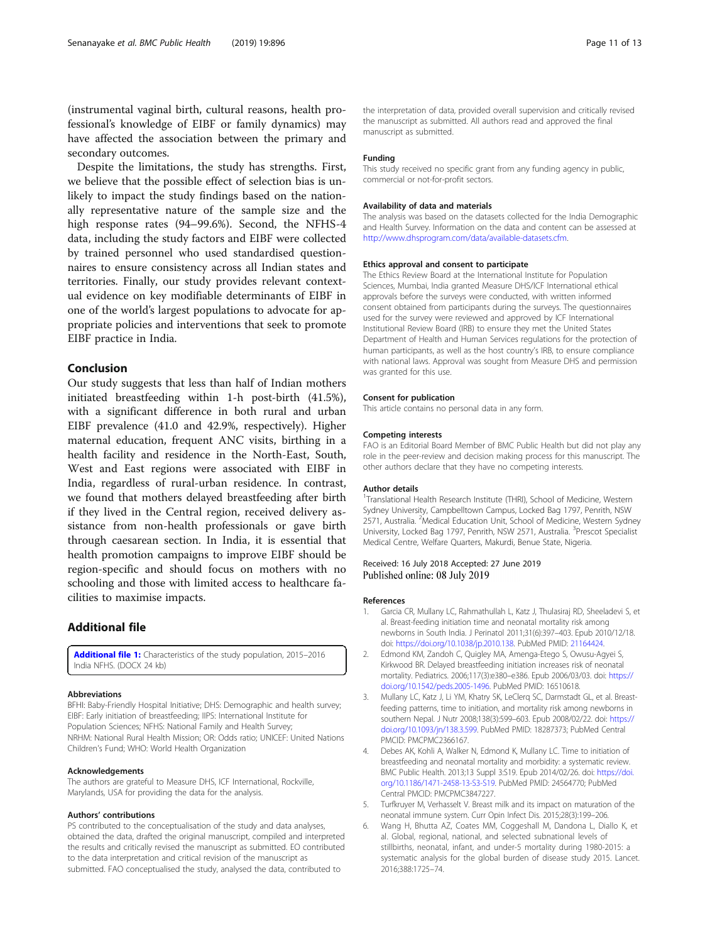<span id="page-10-0"></span>(instrumental vaginal birth, cultural reasons, health professional's knowledge of EIBF or family dynamics) may have affected the association between the primary and secondary outcomes.

Despite the limitations, the study has strengths. First, we believe that the possible effect of selection bias is unlikely to impact the study findings based on the nationally representative nature of the sample size and the high response rates (94–99.6%). Second, the NFHS-4 data, including the study factors and EIBF were collected by trained personnel who used standardised questionnaires to ensure consistency across all Indian states and territories. Finally, our study provides relevant contextual evidence on key modifiable determinants of EIBF in one of the world's largest populations to advocate for appropriate policies and interventions that seek to promote EIBF practice in India.

## Conclusion

Our study suggests that less than half of Indian mothers initiated breastfeeding within 1-h post-birth (41.5%), with a significant difference in both rural and urban EIBF prevalence (41.0 and 42.9%, respectively). Higher maternal education, frequent ANC visits, birthing in a health facility and residence in the North-East, South, West and East regions were associated with EIBF in India, regardless of rural-urban residence. In contrast, we found that mothers delayed breastfeeding after birth if they lived in the Central region, received delivery assistance from non-health professionals or gave birth through caesarean section. In India, it is essential that health promotion campaigns to improve EIBF should be region-specific and should focus on mothers with no schooling and those with limited access to healthcare facilities to maximise impacts.

## Additional file

[Additional file 1:](https://doi.org/10.1186/s12889-019-7246-7) Characteristics of the study population, 2015-2016 India NFHS. (DOCX 24 kb)

#### Abbreviations

BFHI: Baby-Friendly Hospital Initiative; DHS: Demographic and health survey; EIBF: Early initiation of breastfeeding; IIPS: International Institute for Population Sciences; NFHS: National Family and Health Survey; NRHM: National Rural Health Mission; OR: Odds ratio; UNICEF: United Nations Children's Fund; WHO: World Health Organization

#### Acknowledgements

The authors are grateful to Measure DHS, ICF International, Rockville, Marylands, USA for providing the data for the analysis.

#### Authors' contributions

PS contributed to the conceptualisation of the study and data analyses, obtained the data, drafted the original manuscript, compiled and interpreted the results and critically revised the manuscript as submitted. EO contributed to the data interpretation and critical revision of the manuscript as submitted. FAO conceptualised the study, analysed the data, contributed to

the interpretation of data, provided overall supervision and critically revised the manuscript as submitted. All authors read and approved the final manuscript as submitted.

#### Funding

This study received no specific grant from any funding agency in public, commercial or not-for-profit sectors.

#### Availability of data and materials

The analysis was based on the datasets collected for the India Demographic and Health Survey. Information on the data and content can be assessed at [http://www.dhsprogram.com/data/available-datasets.cfm.](http://www.dhsprogram.com/data/available-datasets.cfm)

#### Ethics approval and consent to participate

The Ethics Review Board at the International Institute for Population Sciences, Mumbai, India granted Measure DHS/ICF International ethical approvals before the surveys were conducted, with written informed consent obtained from participants during the surveys. The questionnaires used for the survey were reviewed and approved by ICF International Institutional Review Board (IRB) to ensure they met the United States Department of Health and Human Services regulations for the protection of human participants, as well as the host country's IRB, to ensure compliance with national laws. Approval was sought from Measure DHS and permission was granted for this use.

#### Consent for publication

This article contains no personal data in any form.

## Competing interests

FAO is an Editorial Board Member of BMC Public Health but did not play any role in the peer-review and decision making process for this manuscript. The other authors declare that they have no competing interests.

#### Author details

<sup>1</sup>Translational Health Research Institute (THRI), School of Medicine, Western Sydney University, Campbelltown Campus, Locked Bag 1797, Penrith, NSW 2571, Australia. <sup>2</sup>Medical Education Unit, School of Medicine, Western Sydney University, Locked Bag 1797, Penrith, NSW 2571, Australia. <sup>3</sup>Prescot Specialist Medical Centre, Welfare Quarters, Makurdi, Benue State, Nigeria.

#### Received: 16 July 2018 Accepted: 27 June 2019 Published online: 08 July 2019

#### References

- 1. Garcia CR, Mullany LC, Rahmathullah L, Katz J, Thulasiraj RD, Sheeladevi S, et al. Breast-feeding initiation time and neonatal mortality risk among newborns in South India. J Perinatol 2011;31(6):397–403. Epub 2010/12/18. doi: [https://doi.org/10.1038/jp.2010.138.](https://doi.org/10.1038/jp.2010.138) PubMed PMID: [21164424](https://www.ncbi.nlm.nih.gov/pubmed/21164424).
- 2. Edmond KM, Zandoh C, Quigley MA, Amenga-Etego S, Owusu-Agyei S, Kirkwood BR. Delayed breastfeeding initiation increases risk of neonatal mortality. Pediatrics. 2006;117(3):e380–e386. Epub 2006/03/03. doi: [https://](https://doi.org/10.1542/peds.2005-1496) [doi.org/10.1542/peds.2005-1496.](https://doi.org/10.1542/peds.2005-1496) PubMed PMID: 16510618.
- Mullany LC, Katz J, Li YM, Khatry SK, LeClerq SC, Darmstadt GL, et al. Breastfeeding patterns, time to initiation, and mortality risk among newborns in southern Nepal. J Nutr 2008;138(3):599–603. Epub 2008/02/22. doi: [https://](https://doi.org/10.1093/jn/138.3.599) [doi.org/10.1093/jn/138.3.599](https://doi.org/10.1093/jn/138.3.599). PubMed PMID: 18287373; PubMed Central PMCID: PMCPMC2366167.
- 4. Debes AK, Kohli A, Walker N, Edmond K, Mullany LC. Time to initiation of breastfeeding and neonatal mortality and morbidity: a systematic review. BMC Public Health. 2013;13 Suppl 3:S19. Epub 2014/02/26. doi: [https://doi.](https://doi.org/10.1186/1471-2458-13-S3-S19) [org/10.1186/1471-2458-13-S3-S19](https://doi.org/10.1186/1471-2458-13-S3-S19). PubMed PMID: 24564770; PubMed Central PMCID: PMCPMC3847227.
- 5. Turfkruyer M, Verhasselt V. Breast milk and its impact on maturation of the neonatal immune system. Curr Opin Infect Dis. 2015;28(3):199–206.
- 6. Wang H, Bhutta AZ, Coates MM, Coggeshall M, Dandona L, Diallo K, et al. Global, regional, national, and selected subnational levels of stillbirths, neonatal, infant, and under-5 mortality during 1980-2015: a systematic analysis for the global burden of disease study 2015. Lancet. 2016;388:1725–74.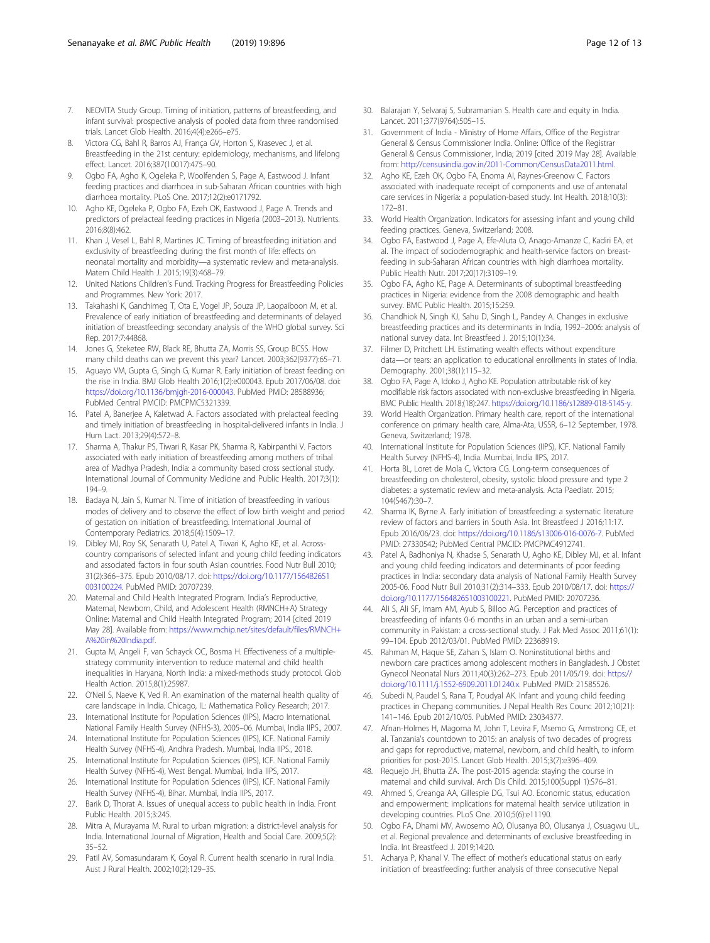- <span id="page-11-0"></span>7. NEOVITA Study Group. Timing of initiation, patterns of breastfeeding, and infant survival: prospective analysis of pooled data from three randomised trials. Lancet Glob Health. 2016;4(4):e266–e75.
- Victora CG, Bahl R, Barros AJ, França GV, Horton S, Krasevec J, et al. Breastfeeding in the 21st century: epidemiology, mechanisms, and lifelong effect. Lancet. 2016;387(10017):475–90.
- Ogbo FA, Agho K, Ogeleka P, Woolfenden S, Page A, Eastwood J. Infant feeding practices and diarrhoea in sub-Saharan African countries with high diarrhoea mortality. PLoS One. 2017;12(2):e0171792.
- 10. Agho KE, Ogeleka P, Ogbo FA, Ezeh OK, Eastwood J, Page A. Trends and predictors of prelacteal feeding practices in Nigeria (2003–2013). Nutrients. 2016;8(8):462.
- 11. Khan J, Vesel L, Bahl R, Martines JC. Timing of breastfeeding initiation and exclusivity of breastfeeding during the first month of life: effects on neonatal mortality and morbidity—a systematic review and meta-analysis. Matern Child Health J. 2015;19(3):468–79.
- 12. United Nations Children's Fund. Tracking Progress for Breastfeeding Policies and Programmes. New York: 2017.
- 13. Takahashi K, Ganchimeg T, Ota E, Vogel JP, Souza JP, Laopaiboon M, et al. Prevalence of early initiation of breastfeeding and determinants of delayed initiation of breastfeeding: secondary analysis of the WHO global survey. Sci Rep. 2017;7:44868.
- 14. Jones G, Steketee RW, Black RE, Bhutta ZA, Morris SS, Group BCSS. How many child deaths can we prevent this year? Lancet. 2003;362(9377):65–71.
- 15. Aguayo VM, Gupta G, Singh G, Kumar R. Early initiation of breast feeding on the rise in India. BMJ Glob Health 2016;1(2):e000043. Epub 2017/06/08. doi: [https://doi.org/10.1136/bmjgh-2016-000043.](https://doi.org/10.1136/bmjgh-2016-000043) PubMed PMID: 28588936; PubMed Central PMCID: PMCPMC5321339.
- 16. Patel A, Banerjee A, Kaletwad A. Factors associated with prelacteal feeding and timely initiation of breastfeeding in hospital-delivered infants in India. J Hum Lact. 2013;29(4):572–8.
- 17. Sharma A, Thakur PS, Tiwari R, Kasar PK, Sharma R, Kabirpanthi V. Factors associated with early initiation of breastfeeding among mothers of tribal area of Madhya Pradesh, India: a community based cross sectional study. International Journal of Community Medicine and Public Health. 2017;3(1): 194–9.
- 18. Badaya N, Jain S, Kumar N. Time of initiation of breastfeeding in various modes of delivery and to observe the effect of low birth weight and period of gestation on initiation of breastfeeding. International Journal of Contemporary Pediatrics. 2018;5(4):1509–17.
- 19. Dibley MJ, Roy SK, Senarath U, Patel A, Tiwari K, Agho KE, et al. Acrosscountry comparisons of selected infant and young child feeding indicators and associated factors in four south Asian countries. Food Nutr Bull 2010; 31(2):366–375. Epub 2010/08/17. doi: [https://doi.org/10.1177/156482651](https://doi.org/10.1177/156482651003100224) [003100224](https://doi.org/10.1177/156482651003100224). PubMed PMID: 20707239.
- 20. Maternal and Child Health Integrated Program. India's Reproductive, Maternal, Newborn, Child, and Adolescent Health (RMNCH+A) Strategy Online: Maternal and Child Health Integrated Program; 2014 [cited 2019 May 28]. Available from: [https://www.mchip.net/sites/default/files/RMNCH+](https://www.mchip.net/sites/default/files/RMNCH+A%20in%20India.pdf) [A%20in%20India.pdf.](https://www.mchip.net/sites/default/files/RMNCH+A%20in%20India.pdf)
- 21. Gupta M, Angeli F, van Schayck OC, Bosma H. Effectiveness of a multiplestrategy community intervention to reduce maternal and child health inequalities in Haryana, North India: a mixed-methods study protocol. Glob Health Action. 2015;8(1):25987.
- 22. O'Neil S, Naeve K, Ved R. An examination of the maternal health quality of care landscape in India. Chicago, IL: Mathematica Policy Research; 2017.
- 23. International Institute for Population Sciences (IIPS), Macro International. National Family Health Survey (NFHS-3), 2005–06. Mumbai, India IIPS., 2007.
- 24. International Institute for Population Sciences (IIPS), ICF. National Family Health Survey (NFHS-4), Andhra Pradesh. Mumbai, India IIPS., 2018.
- International Institute for Population Sciences (IIPS), ICF. National Family Health Survey (NFHS-4), West Bengal. Mumbai, India IIPS, 2017.
- 26. International Institute for Population Sciences (IIPS), ICF. National Family Health Survey (NFHS-4), Bihar. Mumbai, India IIPS, 2017.
- 27. Barik D, Thorat A. Issues of unequal access to public health in India. Front Public Health. 2015;3:245.
- 28. Mitra A, Murayama M. Rural to urban migration: a district-level analysis for India. International Journal of Migration, Health and Social Care. 2009;5(2): 35–52.
- 29. Patil AV, Somasundaram K, Goyal R. Current health scenario in rural India. Aust J Rural Health. 2002;10(2):129–35.
- 30. Balarajan Y, Selvaraj S, Subramanian S. Health care and equity in India. Lancet. 2011;377(9764):505–15.
- 31. Government of India Ministry of Home Affairs, Office of the Registrar General & Census Commissioner India. Online: Office of the Registrar General & Census Commissioner, India; 2019 [cited 2019 May 28]. Available from: [http://censusindia.gov.in/2011-Common/CensusData2011.html.](http://censusindia.gov.in/2011-Common/CensusData2011.html)
- 32. Agho KE, Ezeh OK, Ogbo FA, Enoma AI, Raynes-Greenow C. Factors associated with inadequate receipt of components and use of antenatal care services in Nigeria: a population-based study. Int Health. 2018;10(3): 172–81.
- 33. World Health Organization. Indicators for assessing infant and young child feeding practices. Geneva, Switzerland; 2008.
- 34. Ogbo FA, Eastwood J, Page A, Efe-Aluta O, Anago-Amanze C, Kadiri EA, et al. The impact of sociodemographic and health-service factors on breastfeeding in sub-Saharan African countries with high diarrhoea mortality. Public Health Nutr. 2017;20(17):3109–19.
- 35. Ogbo FA, Agho KE, Page A. Determinants of suboptimal breastfeeding practices in Nigeria: evidence from the 2008 demographic and health survey. BMC Public Health. 2015;15:259.
- 36. Chandhiok N, Singh KJ, Sahu D, Singh L, Pandey A. Changes in exclusive breastfeeding practices and its determinants in India, 1992–2006: analysis of national survey data. Int Breastfeed J. 2015;10(1):34.
- 37. Filmer D, Pritchett LH. Estimating wealth effects without expenditure data—or tears: an application to educational enrollments in states of India. Demography. 2001;38(1):115–32.
- 38. Ogbo FA, Page A, Idoko J, Agho KE. Population attributable risk of key modifiable risk factors associated with non-exclusive breastfeeding in Nigeria. BMC Public Health. 2018;(18):247. <https://doi.org/10.1186/s12889-018-5145-y>.
- World Health Organization. Primary health care, report of the international conference on primary health care, Alma-Ata, USSR, 6–12 September, 1978. Geneva, Switzerland; 1978.
- 40. International Institute for Population Sciences (IIPS), ICF. National Family Health Survey (NFHS-4), India. Mumbai, India IIPS, 2017.
- 41. Horta BL, Loret de Mola C, Victora CG. Long-term consequences of breastfeeding on cholesterol, obesity, systolic blood pressure and type 2 diabetes: a systematic review and meta-analysis. Acta Paediatr. 2015; 104(S467):30–7.
- 42. Sharma IK, Byrne A. Early initiation of breastfeeding: a systematic literature review of factors and barriers in South Asia. Int Breastfeed J 2016;11:17. Epub 2016/06/23. doi: [https://doi.org/10.1186/s13006-016-0076-7.](https://doi.org/10.1186/s13006-016-0076-7) PubMed PMID: 27330542; PubMed Central PMCID: PMCPMC4912741.
- 43. Patel A, Badhoniya N, Khadse S, Senarath U, Agho KE, Dibley MJ, et al. Infant and young child feeding indicators and determinants of poor feeding practices in India: secondary data analysis of National Family Health Survey 2005-06. Food Nutr Bull 2010;31(2):314–333. Epub 2010/08/17. doi: [https://](https://doi.org/10.1177/156482651003100221) [doi.org/10.1177/156482651003100221.](https://doi.org/10.1177/156482651003100221) PubMed PMID: 20707236.
- 44. Ali S, Ali SF, Imam AM, Ayub S, Billoo AG. Perception and practices of breastfeeding of infants 0-6 months in an urban and a semi-urban community in Pakistan: a cross-sectional study. J Pak Med Assoc 2011;61(1): 99–104. Epub 2012/03/01. PubMed PMID: 22368919.
- 45. Rahman M, Haque SE, Zahan S, Islam O. Noninstitutional births and newborn care practices among adolescent mothers in Bangladesh. J Obstet Gynecol Neonatal Nurs 2011;40(3):262–273. Epub 2011/05/19. doi: [https://](https://doi.org/10.1111/j.1552-6909.2011.01240.x) [doi.org/10.1111/j.1552-6909.2011.01240.x.](https://doi.org/10.1111/j.1552-6909.2011.01240.x) PubMed PMID: 21585526.
- 46. Subedi N, Paudel S, Rana T, Poudyal AK. Infant and young child feeding practices in Chepang communities. J Nepal Health Res Counc 2012;10(21): 141–146. Epub 2012/10/05. PubMed PMID: 23034377.
- 47. Afnan-Holmes H, Magoma M, John T, Levira F, Msemo G, Armstrong CE, et al. Tanzania's countdown to 2015: an analysis of two decades of progress and gaps for reproductive, maternal, newborn, and child health, to inform priorities for post-2015. Lancet Glob Health. 2015;3(7):e396–409.
- 48. Requejo JH, Bhutta ZA. The post-2015 agenda: staying the course in maternal and child survival. Arch Dis Child. 2015;100(Suppl 1):S76–81.
- 49. Ahmed S, Creanga AA, Gillespie DG, Tsui AO. Economic status, education and empowerment: implications for maternal health service utilization in developing countries. PLoS One. 2010;5(6):e11190.
- 50. Ogbo FA, Dhami MV, Awosemo AO, Olusanya BO, Olusanya J, Osuagwu UL, et al. Regional prevalence and determinants of exclusive breastfeeding in India. Int Breastfeed J. 2019;14:20.
- 51. Acharya P, Khanal V. The effect of mother's educational status on early initiation of breastfeeding: further analysis of three consecutive Nepal